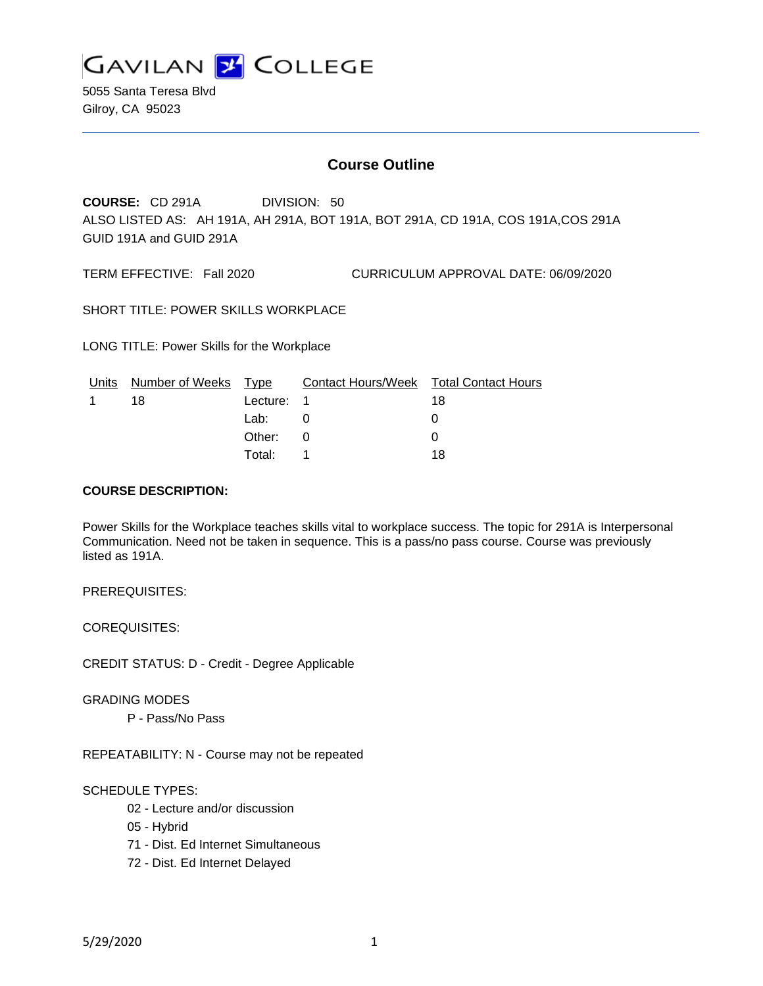

5055 Santa Teresa Blvd Gilroy, CA 95023

# **Course Outline**

**COURSE:** CD 291A DIVISION: 50 ALSO LISTED AS: AH 191A, AH 291A, BOT 191A, BOT 291A, CD 191A, COS 191A,COS 291A GUID 191A and GUID 291A

TERM EFFECTIVE: Fall 2020 CURRICULUM APPROVAL DATE: 06/09/2020

SHORT TITLE: POWER SKILLS WORKPLACE

LONG TITLE: Power Skills for the Workplace

| Units | Number of Weeks Type |            | Contact Hours/Week Total Contact Hours |    |
|-------|----------------------|------------|----------------------------------------|----|
|       | 18                   | Lecture: 1 |                                        | 18 |
|       |                      | Lab:       |                                        |    |
|       |                      | Other:     | $\Omega$                               |    |
|       |                      | Total: I   |                                        | 18 |

#### **COURSE DESCRIPTION:**

Power Skills for the Workplace teaches skills vital to workplace success. The topic for 291A is Interpersonal Communication. Need not be taken in sequence. This is a pass/no pass course. Course was previously listed as 191A.

PREREQUISITES:

COREQUISITES:

CREDIT STATUS: D - Credit - Degree Applicable

GRADING MODES

P - Pass/No Pass

REPEATABILITY: N - Course may not be repeated

# SCHEDULE TYPES:

02 - Lecture and/or discussion

- 05 Hybrid
- 71 Dist. Ed Internet Simultaneous
- 72 Dist. Ed Internet Delayed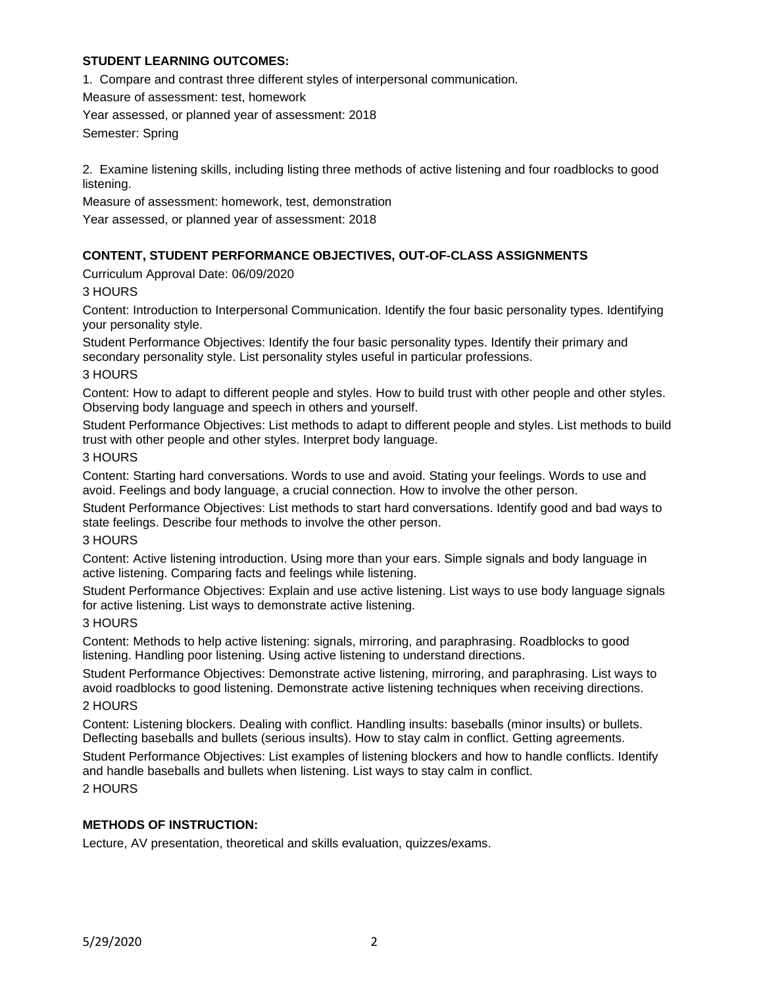# **STUDENT LEARNING OUTCOMES:**

1. Compare and contrast three different styles of interpersonal communication.

Measure of assessment: test, homework

Year assessed, or planned year of assessment: 2018

Semester: Spring

2. Examine listening skills, including listing three methods of active listening and four roadblocks to good listening.

Measure of assessment: homework, test, demonstration

Year assessed, or planned year of assessment: 2018

# **CONTENT, STUDENT PERFORMANCE OBJECTIVES, OUT-OF-CLASS ASSIGNMENTS**

Curriculum Approval Date: 06/09/2020

# 3 HOURS

Content: Introduction to Interpersonal Communication. Identify the four basic personality types. Identifying your personality style.

Student Performance Objectives: Identify the four basic personality types. Identify their primary and secondary personality style. List personality styles useful in particular professions.

#### 3 HOURS

Content: How to adapt to different people and styles. How to build trust with other people and other styles. Observing body language and speech in others and yourself.

Student Performance Objectives: List methods to adapt to different people and styles. List methods to build trust with other people and other styles. Interpret body language.

### 3 HOURS

Content: Starting hard conversations. Words to use and avoid. Stating your feelings. Words to use and avoid. Feelings and body language, a crucial connection. How to involve the other person.

Student Performance Objectives: List methods to start hard conversations. Identify good and bad ways to state feelings. Describe four methods to involve the other person.

#### 3 HOURS

Content: Active listening introduction. Using more than your ears. Simple signals and body language in active listening. Comparing facts and feelings while listening.

Student Performance Objectives: Explain and use active listening. List ways to use body language signals for active listening. List ways to demonstrate active listening.

# 3 HOURS

Content: Methods to help active listening: signals, mirroring, and paraphrasing. Roadblocks to good listening. Handling poor listening. Using active listening to understand directions.

Student Performance Objectives: Demonstrate active listening, mirroring, and paraphrasing. List ways to avoid roadblocks to good listening. Demonstrate active listening techniques when receiving directions.

# 2 HOURS

Content: Listening blockers. Dealing with conflict. Handling insults: baseballs (minor insults) or bullets. Deflecting baseballs and bullets (serious insults). How to stay calm in conflict. Getting agreements.

Student Performance Objectives: List examples of listening blockers and how to handle conflicts. Identify and handle baseballs and bullets when listening. List ways to stay calm in conflict.

# 2 HOURS

# **METHODS OF INSTRUCTION:**

Lecture, AV presentation, theoretical and skills evaluation, quizzes/exams.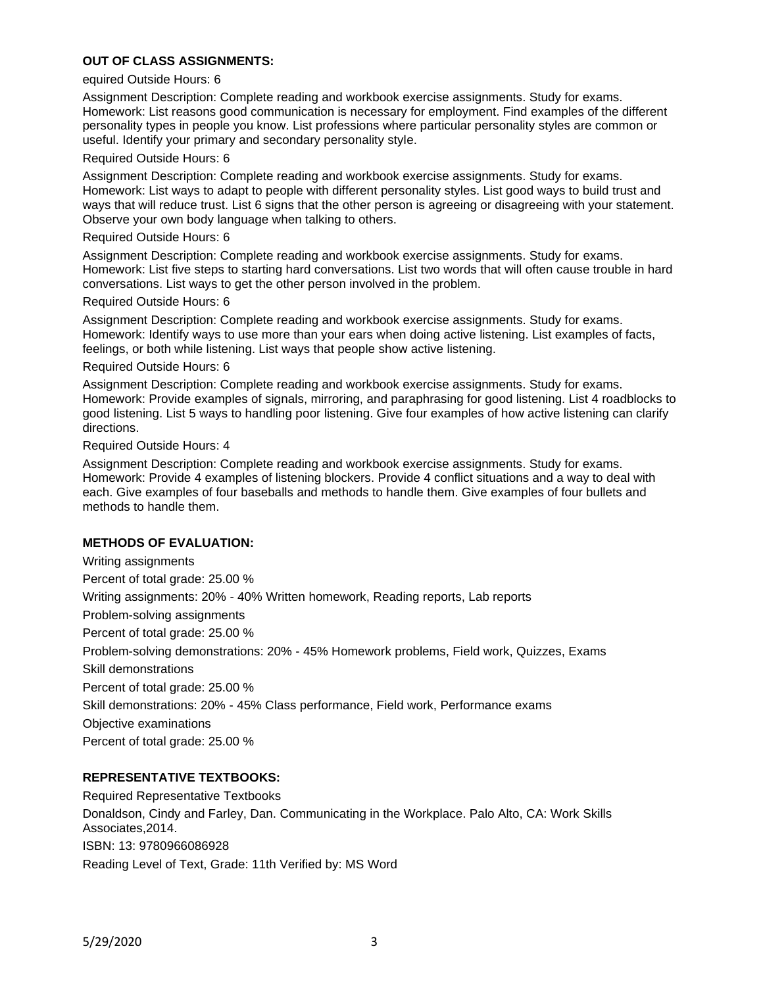# **OUT OF CLASS ASSIGNMENTS:**

#### equired Outside Hours: 6

Assignment Description: Complete reading and workbook exercise assignments. Study for exams. Homework: List reasons good communication is necessary for employment. Find examples of the different personality types in people you know. List professions where particular personality styles are common or useful. Identify your primary and secondary personality style.

#### Required Outside Hours: 6

Assignment Description: Complete reading and workbook exercise assignments. Study for exams. Homework: List ways to adapt to people with different personality styles. List good ways to build trust and ways that will reduce trust. List 6 signs that the other person is agreeing or disagreeing with your statement. Observe your own body language when talking to others.

#### Required Outside Hours: 6

Assignment Description: Complete reading and workbook exercise assignments. Study for exams. Homework: List five steps to starting hard conversations. List two words that will often cause trouble in hard conversations. List ways to get the other person involved in the problem.

#### Required Outside Hours: 6

Assignment Description: Complete reading and workbook exercise assignments. Study for exams. Homework: Identify ways to use more than your ears when doing active listening. List examples of facts, feelings, or both while listening. List ways that people show active listening.

#### Required Outside Hours: 6

Assignment Description: Complete reading and workbook exercise assignments. Study for exams. Homework: Provide examples of signals, mirroring, and paraphrasing for good listening. List 4 roadblocks to good listening. List 5 ways to handling poor listening. Give four examples of how active listening can clarify directions.

#### Required Outside Hours: 4

Assignment Description: Complete reading and workbook exercise assignments. Study for exams. Homework: Provide 4 examples of listening blockers. Provide 4 conflict situations and a way to deal with each. Give examples of four baseballs and methods to handle them. Give examples of four bullets and methods to handle them.

#### **METHODS OF EVALUATION:**

Writing assignments Percent of total grade: 25.00 % Writing assignments: 20% - 40% Written homework, Reading reports, Lab reports Problem-solving assignments Percent of total grade: 25.00 % Problem-solving demonstrations: 20% - 45% Homework problems, Field work, Quizzes, Exams Skill demonstrations Percent of total grade: 25.00 % Skill demonstrations: 20% - 45% Class performance, Field work, Performance exams Objective examinations Percent of total grade: 25.00 %

# **REPRESENTATIVE TEXTBOOKS:**

Required Representative Textbooks Donaldson, Cindy and Farley, Dan. Communicating in the Workplace. Palo Alto, CA: Work Skills Associates,2014. ISBN: 13: 9780966086928 Reading Level of Text, Grade: 11th Verified by: MS Word